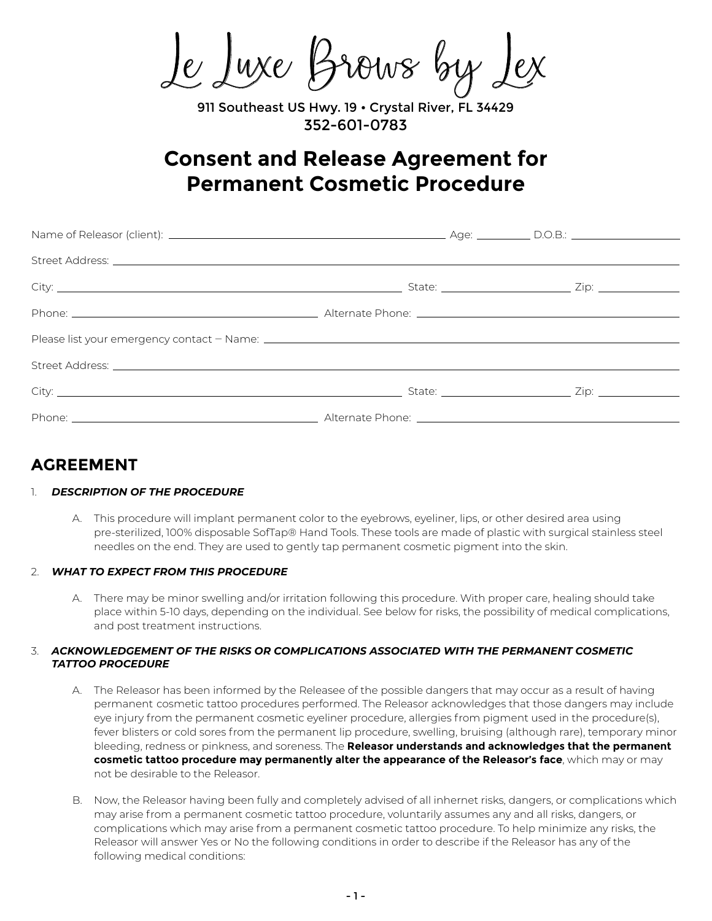Le Luxe Brows by

911 Southeast US Hwy. 19 · Crystal River, FL 34429 352-601-0783

# **Consent and Release Agreement for Permanent Cosmetic Procedure**

| Street Address: <u>The Communication of the Communication of the Communication of the Communication of the Communication of the Communication of the Communication of the Communication of the Communication of the Communicatio</u> |  |  |
|--------------------------------------------------------------------------------------------------------------------------------------------------------------------------------------------------------------------------------------|--|--|
|                                                                                                                                                                                                                                      |  |  |
|                                                                                                                                                                                                                                      |  |  |

# **AGREEMENT**

# 1. *DESCRIPTION OF THE PROCEDURE*

 A. This procedure will implant permanent color to the eyebrows, eyeliner, lips, or other desired area using pre-sterilized, 100% disposable SofTap® Hand Tools. These tools are made of plastic with surgical stainless steel needles on the end. They are used to gently tap permanent cosmetic pigment into the skin.

# 2. *WHAT TO EXPECT FROM THIS PROCEDURE*

 A. There may be minor swelling and/or irritation following this procedure. With proper care, healing should take place within 5-10 days, depending on the individual. See below for risks, the possibility of medical complications, and post treatment instructions.

### 3. *ACKNOWLEDGEMENT OF THE RISKS OR COMPLICATIONS ASSOCIATED WITH THE PERMANENT COSMETIC TATTOO PROCEDURE*

- A. The Releasor has been informed by the Releasee of the possible dangers that may occur as a result of having permanent cosmetic tattoo procedures performed. The Releasor acknowledges that those dangers may include eye injury from the permanent cosmetic eyeliner procedure, allergies from pigment used in the procedure(s), fever blisters or cold sores from the permanent lip procedure, swelling, bruising (although rare), temporary minor bleeding, redness or pinkness, and soreness. The **Releasor understands and acknowledges that the permanent cosmetic tattoo procedure may permanently alter the appearance of the Releasor's face**, which may or may not be desirable to the Releasor.
- B. Now, the Releasor having been fully and completely advised of all inhernet risks, dangers, or complications which may arise from a permanent cosmetic tattoo procedure, voluntarily assumes any and all risks, dangers, or complications which may arise from a permanent cosmetic tattoo procedure. To help minimize any risks, the Releasor will answer Yes or No the following conditions in order to describe if the Releasor has any of the following medical conditions: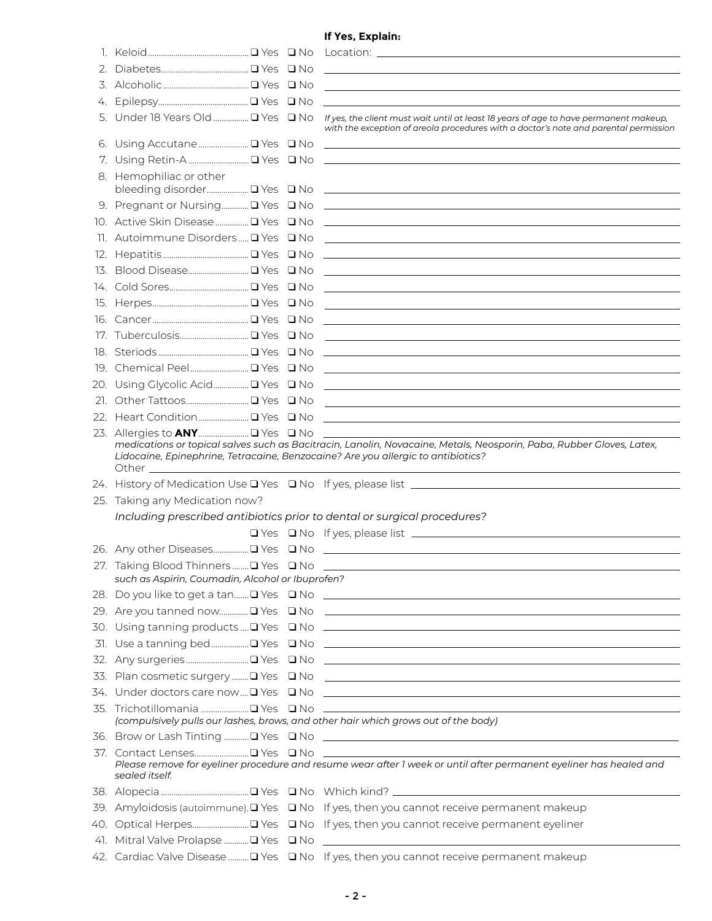# **If Yes, Explain:**

|                                                  |  | 5. Under 18 Years Old  I Yes In No If yes, the client must wait until at least 18 years of age to have permanent makeup,<br>with the exception of areola procedures with a doctor's note and parental permission                                                                                                                                                                                                                          |
|--------------------------------------------------|--|-------------------------------------------------------------------------------------------------------------------------------------------------------------------------------------------------------------------------------------------------------------------------------------------------------------------------------------------------------------------------------------------------------------------------------------------|
|                                                  |  |                                                                                                                                                                                                                                                                                                                                                                                                                                           |
|                                                  |  |                                                                                                                                                                                                                                                                                                                                                                                                                                           |
| 8. Hemophiliac or other                          |  |                                                                                                                                                                                                                                                                                                                                                                                                                                           |
|                                                  |  |                                                                                                                                                                                                                                                                                                                                                                                                                                           |
|                                                  |  |                                                                                                                                                                                                                                                                                                                                                                                                                                           |
|                                                  |  |                                                                                                                                                                                                                                                                                                                                                                                                                                           |
|                                                  |  |                                                                                                                                                                                                                                                                                                                                                                                                                                           |
|                                                  |  |                                                                                                                                                                                                                                                                                                                                                                                                                                           |
|                                                  |  |                                                                                                                                                                                                                                                                                                                                                                                                                                           |
|                                                  |  |                                                                                                                                                                                                                                                                                                                                                                                                                                           |
|                                                  |  |                                                                                                                                                                                                                                                                                                                                                                                                                                           |
|                                                  |  |                                                                                                                                                                                                                                                                                                                                                                                                                                           |
|                                                  |  |                                                                                                                                                                                                                                                                                                                                                                                                                                           |
|                                                  |  |                                                                                                                                                                                                                                                                                                                                                                                                                                           |
|                                                  |  |                                                                                                                                                                                                                                                                                                                                                                                                                                           |
|                                                  |  |                                                                                                                                                                                                                                                                                                                                                                                                                                           |
|                                                  |  |                                                                                                                                                                                                                                                                                                                                                                                                                                           |
|                                                  |  |                                                                                                                                                                                                                                                                                                                                                                                                                                           |
|                                                  |  | medications or topical salves such as Bacitracin, Lanolin, Novacaine, Metals, Neosporin, Paba, Rubber Gloves, Latex,<br>Lidocaine, Epinephrine, Tetracaine, Benzocaine? Are you allergic to antibiotics?<br>the control of the control of the control of the control of the control of the control of the control of the control of the control of the control of the control of the control of the control of the control of the control |
|                                                  |  |                                                                                                                                                                                                                                                                                                                                                                                                                                           |
|                                                  |  |                                                                                                                                                                                                                                                                                                                                                                                                                                           |
| 25. Taking any Medication now?                   |  |                                                                                                                                                                                                                                                                                                                                                                                                                                           |
|                                                  |  | Including prescribed antibiotics prior to dental or surgical procedures?                                                                                                                                                                                                                                                                                                                                                                  |
|                                                  |  |                                                                                                                                                                                                                                                                                                                                                                                                                                           |
|                                                  |  |                                                                                                                                                                                                                                                                                                                                                                                                                                           |
| such as Aspirin, Coumadin, Alcohol or Ibuprofen? |  |                                                                                                                                                                                                                                                                                                                                                                                                                                           |
|                                                  |  | 28. Do you like to get a tan□ Yes □ No __________________________________                                                                                                                                                                                                                                                                                                                                                                 |
|                                                  |  |                                                                                                                                                                                                                                                                                                                                                                                                                                           |
|                                                  |  |                                                                                                                                                                                                                                                                                                                                                                                                                                           |
|                                                  |  |                                                                                                                                                                                                                                                                                                                                                                                                                                           |
|                                                  |  |                                                                                                                                                                                                                                                                                                                                                                                                                                           |
|                                                  |  |                                                                                                                                                                                                                                                                                                                                                                                                                                           |
|                                                  |  |                                                                                                                                                                                                                                                                                                                                                                                                                                           |
|                                                  |  | (compulsively pulls our lashes, brows, and other hair which grows out of the body)                                                                                                                                                                                                                                                                                                                                                        |
|                                                  |  |                                                                                                                                                                                                                                                                                                                                                                                                                                           |
| sealed itself.                                   |  | Please remove for eyeliner procedure and resume wear after 1 week or until after permanent eyeliner has healed and                                                                                                                                                                                                                                                                                                                        |
|                                                  |  |                                                                                                                                                                                                                                                                                                                                                                                                                                           |
|                                                  |  | 39. Amyloidosis (autoimmune). La Yes La No If yes, then you cannot receive permanent makeup                                                                                                                                                                                                                                                                                                                                               |
|                                                  |  |                                                                                                                                                                                                                                                                                                                                                                                                                                           |
|                                                  |  |                                                                                                                                                                                                                                                                                                                                                                                                                                           |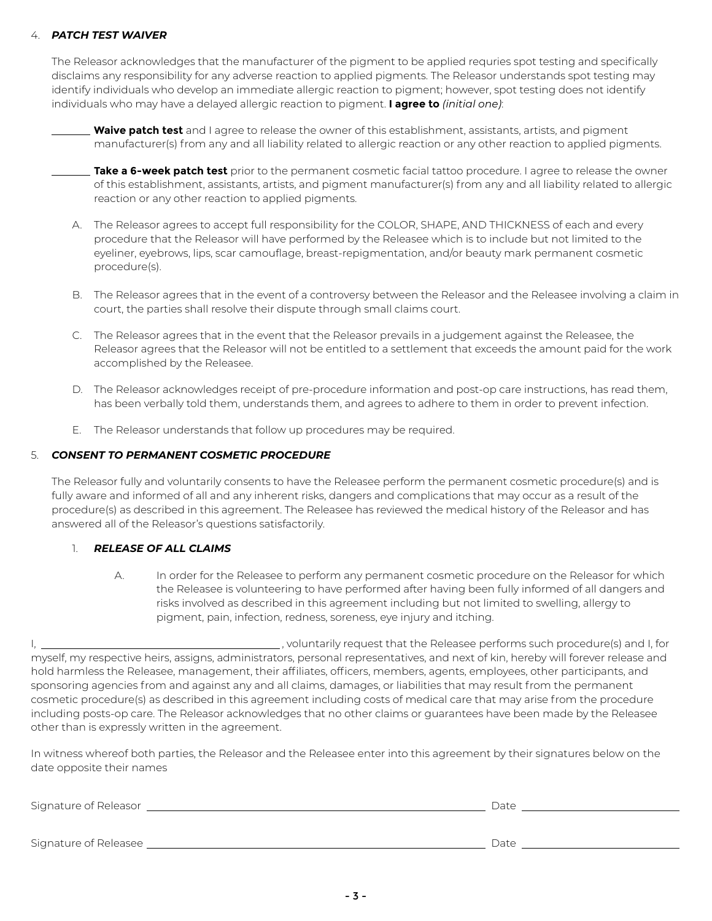## 4. *PATCH TEST WAIVER*

 The Releasor acknowledges that the manufacturer of the pigment to be applied requries spot testing and specifically disclaims any responsibility for any adverse reaction to applied pigments. The Releasor understands spot testing may identify individuals who develop an immediate allergic reaction to pigment; however, spot testing does not identify individuals who may have a delayed allergic reaction to pigment. **I agree to** *(initial one)*:

| <b>Waive patch test</b> and I agree to release the owner of this establishment, assistants, artists, and pigment   |
|--------------------------------------------------------------------------------------------------------------------|
| manufacturer(s) from any and all liability related to allergic reaction or any other reaction to applied pigments. |

 **Take a 6-week patch test** prior to the permanent cosmetic facial tattoo procedure. I agree to release the owner of this establishment, assistants, artists, and pigment manufacturer(s) from any and all liability related to allergic reaction or any other reaction to applied pigments.

- A. The Releasor agrees to accept full responsibility for the COLOR, SHAPE, AND THICKNESS of each and every procedure that the Releasor will have performed by the Releasee which is to include but not limited to the eyeliner, eyebrows, lips, scar camouflage, breast-repigmentation, and/or beauty mark permanent cosmetic procedure(s).
- B. The Releasor agrees that in the event of a controversy between the Releasor and the Releasee involving a claim in court, the parties shall resolve their dispute through small claims court.
- C. The Releasor agrees that in the event that the Releasor prevails in a judgement against the Releasee, the Releasor agrees that the Releasor will not be entitled to a settlement that exceeds the amount paid for the work accomplished by the Releasee.
- D. The Releasor acknowledges receipt of pre-procedure information and post-op care instructions, has read them, has been verbally told them, understands them, and agrees to adhere to them in order to prevent infection.
- E. The Releasor understands that follow up procedures may be required.

### 5. *CONSENT TO PERMANENT COSMETIC PROCEDURE*

 The Releasor fully and voluntarily consents to have the Releasee perform the permanent cosmetic procedure(s) and is fully aware and informed of all and any inherent risks, dangers and complications that may occur as a result of the procedure(s) as described in this agreement. The Releasee has reviewed the medical history of the Releasor and has answered all of the Releasor's questions satisfactorily.

#### 1. *RELEASE OF ALL CLAIMS*

 A. In order for the Releasee to perform any permanent cosmetic procedure on the Releasor for which the Releasee is volunteering to have performed after having been fully informed of all dangers and risks involved as described in this agreement including but not limited to swelling, allergy to pigment, pain, infection, redness, soreness, eye injury and itching.

|                                                   | , voluntarily request that the Releasee performs such procedure(s) and I, for                                                    |
|---------------------------------------------------|----------------------------------------------------------------------------------------------------------------------------------|
|                                                   | myself, my respective heirs, assigns, administrators, personal representatives, and next of kin, hereby will forever release and |
|                                                   | hold harmless the Releasee, management, their affiliates, officers, members, agents, employees, other participants, and          |
|                                                   | sponsoring agencies from and against any and all claims, damages, or liabilities that may result from the permanent              |
|                                                   | cosmetic procedure(s) as described in this agreement including costs of medical care that may arise from the procedure           |
|                                                   | including posts-op care. The Releasor acknowledges that no other claims or guarantees have been made by the Releasee             |
| other than is expressly written in the agreement. |                                                                                                                                  |

In witness whereof both parties, the Releasor and the Releasee enter into this agreement by their signatures below on the date opposite their names

| Signature of Releasor   | Date |  |
|-------------------------|------|--|
| Signature of Releasee _ | Date |  |